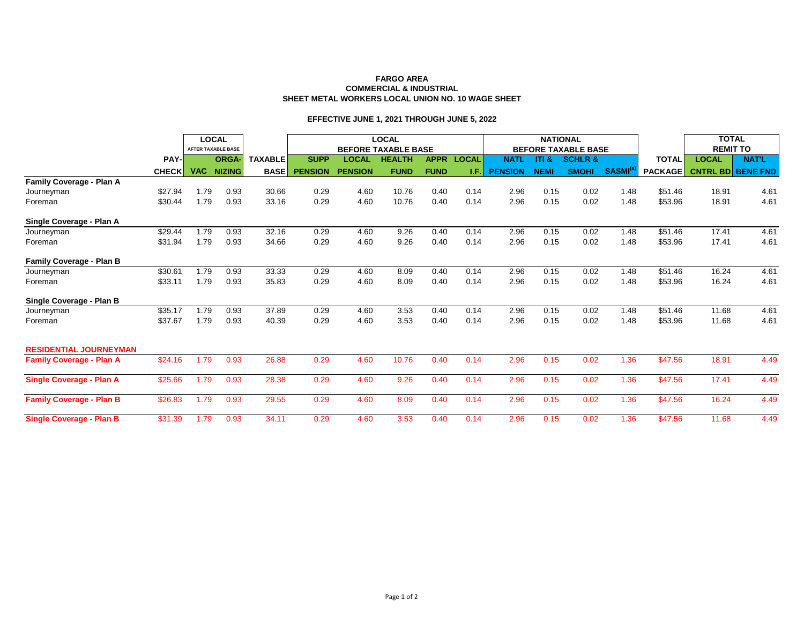## **FARGO AREA COMMERCIAL & INDUSTRIAL SHEET METAL WORKERS LOCAL UNION NO. 10 WAGE SHEET**

## **EFFECTIVE JUNE 1, 2021 THROUGH JUNE 5, 2022**

|                                 |              | <b>LOCAL</b> |                           |                | <b>LOCAL</b>               |                |               |             |              |                            | <b>NATIONAL</b>  |                    |                            | <b>TOTAL</b>   |                 |                          |
|---------------------------------|--------------|--------------|---------------------------|----------------|----------------------------|----------------|---------------|-------------|--------------|----------------------------|------------------|--------------------|----------------------------|----------------|-----------------|--------------------------|
|                                 |              |              | <b>AFTER TAXABLE BASE</b> |                | <b>BEFORE TAXABLE BASE</b> |                |               |             |              | <b>BEFORE TAXABLE BASE</b> |                  |                    |                            |                | <b>REMIT TO</b> |                          |
|                                 | PAY-         |              | <b>ORGA-</b>              | <b>TAXABLE</b> | <b>SUPP</b>                | <b>LOCAL</b>   | <b>HEALTH</b> | <b>APPR</b> | <b>LOCAL</b> | <b>NATL</b>                | <b>ITI &amp;</b> | <b>SCHLR &amp;</b> |                            | <b>TOTAL</b>   | <b>LOCAL</b>    | <b>NAT'L</b>             |
|                                 | <b>CHECK</b> | <b>VAC</b>   | <b>NIZING</b>             | <b>BASE</b>    | <b>PENSION</b>             | <b>PENSION</b> | <b>FUND</b>   | <b>FUND</b> | LF.          | <b>PENSION</b>             | <b>NEMI</b>      | <b>SMOHI</b>       | <b>SASMI</b> <sup>(8</sup> | <b>PACKAGE</b> |                 | <b>CNTRL BD BENE FND</b> |
| Family Coverage - Plan A        |              |              |                           |                |                            |                |               |             |              |                            |                  |                    |                            |                |                 |                          |
| Journeyman                      | \$27.94      | 1.79         | 0.93                      | 30.66          | 0.29                       | 4.60           | 10.76         | 0.40        | 0.14         | 2.96                       | 0.15             | 0.02               | 1.48                       | \$51.46        | 18.91           | 4.61                     |
| Foreman                         | \$30.44      | 1.79         | 0.93                      | 33.16          | 0.29                       | 4.60           | 10.76         | 0.40        | 0.14         | 2.96                       | 0.15             | 0.02               | 1.48                       | \$53.96        | 18.91           | 4.61                     |
| Single Coverage - Plan A        |              |              |                           |                |                            |                |               |             |              |                            |                  |                    |                            |                |                 |                          |
| Journeyman                      | \$29.44      | 1.79         | 0.93                      | 32.16          | 0.29                       | 4.60           | 9.26          | 0.40        | 0.14         | 2.96                       | 0.15             | 0.02               | 1.48                       | \$51.46        | 17.41           | 4.61                     |
| Foreman                         | \$31.94      | 1.79         | 0.93                      | 34.66          | 0.29                       | 4.60           | 9.26          | 0.40        | 0.14         | 2.96                       | 0.15             | 0.02               | 1.48                       | \$53.96        | 17.41           | 4.61                     |
| <b>Family Coverage - Plan B</b> |              |              |                           |                |                            |                |               |             |              |                            |                  |                    |                            |                |                 |                          |
| Journeyman                      | \$30.61      | 1.79         | 0.93                      | 33.33          | 0.29                       | 4.60           | 8.09          | 0.40        | 0.14         | 2.96                       | 0.15             | 0.02               | 1.48                       | \$51.46        | 16.24           | 4.61                     |
| Foreman                         | \$33.11      | 1.79         | 0.93                      | 35.83          | 0.29                       | 4.60           | 8.09          | 0.40        | 0.14         | 2.96                       | 0.15             | 0.02               | 1.48                       | \$53.96        | 16.24           | 4.61                     |
| Single Coverage - Plan B        |              |              |                           |                |                            |                |               |             |              |                            |                  |                    |                            |                |                 |                          |
| Journeyman                      | \$35.17      | 1.79         | 0.93                      | 37.89          | 0.29                       | 4.60           | 3.53          | 0.40        | 0.14         | 2.96                       | 0.15             | 0.02               | 1.48                       | \$51.46        | 11.68           | 4.61                     |
| Foreman                         | \$37.67      | 1.79         | 0.93                      | 40.39          | 0.29                       | 4.60           | 3.53          | 0.40        | 0.14         | 2.96                       | 0.15             | 0.02               | 1.48                       | \$53.96        | 11.68           | 4.61                     |
| <b>RESIDENTIAL JOURNEYMAN</b>   |              |              |                           |                |                            |                |               |             |              |                            |                  |                    |                            |                |                 |                          |
| <b>Family Coverage - Plan A</b> | \$24.16      | 1.79         | 0.93                      | 26.88          | 0.29                       | 4.60           | 10.76         | 0.40        | 0.14         | 2.96                       | 0.15             | 0.02               | 1.36                       | \$47.56        | 18.91           | 4.49                     |
| <b>Single Coverage - Plan A</b> | \$25.66      | 1.79         | 0.93                      | 28.38          | 0.29                       | 4.60           | 9.26          | 0.40        | 0.14         | 2.96                       | 0.15             | 0.02               | 1.36                       | \$47.56        | 17.41           | 4.49                     |
| <b>Family Coverage - Plan B</b> | \$26.83      | 1.79         | 0.93                      | 29.55          | 0.29                       | 4.60           | 8.09          | 0.40        | 0.14         | 2.96                       | 0.15             | 0.02               | 1.36                       | \$47.56        | 16.24           | 4.49                     |
| <b>Single Coverage - Plan B</b> | \$31.39      | 1.79         | 0.93                      | 34.11          | 0.29                       | 4.60           | 3.53          | 0.40        | 0.14         | 2.96                       | 0.15             | 0.02               | 1.36                       | \$47.56        | 11.68           | 4.49                     |